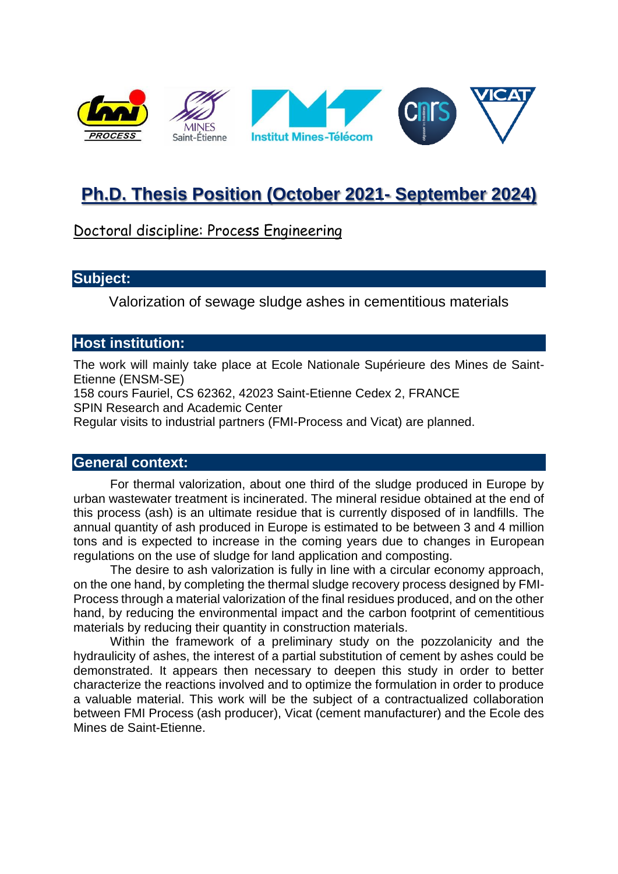

# **Ph.D. Thesis Position (October 2021- September 2024)**

# Doctoral discipline: Process Engineering

#### **Subject:**

Valorization of sewage sludge ashes in cementitious materials

## **Host institution:**

The work will mainly take place at Ecole Nationale Supérieure des Mines de Saint-Etienne (ENSM-SE)

158 cours Fauriel, CS 62362, 42023 Saint-Etienne Cedex 2, FRANCE SPIN Research and Academic Center

Regular visits to industrial partners (FMI-Process and Vicat) are planned.

#### **General context:**

For thermal valorization, about one third of the sludge produced in Europe by urban wastewater treatment is incinerated. The mineral residue obtained at the end of this process (ash) is an ultimate residue that is currently disposed of in landfills. The annual quantity of ash produced in Europe is estimated to be between 3 and 4 million tons and is expected to increase in the coming years due to changes in European regulations on the use of sludge for land application and composting.

The desire to ash valorization is fully in line with a circular economy approach, on the one hand, by completing the thermal sludge recovery process designed by FMI-Process through a material valorization of the final residues produced, and on the other hand, by reducing the environmental impact and the carbon footprint of cementitious materials by reducing their quantity in construction materials.

Within the framework of a preliminary study on the pozzolanicity and the hydraulicity of ashes, the interest of a partial substitution of cement by ashes could be demonstrated. It appears then necessary to deepen this study in order to better characterize the reactions involved and to optimize the formulation in order to produce a valuable material. This work will be the subject of a contractualized collaboration between FMI Process (ash producer), Vicat (cement manufacturer) and the Ecole des Mines de Saint-Etienne.